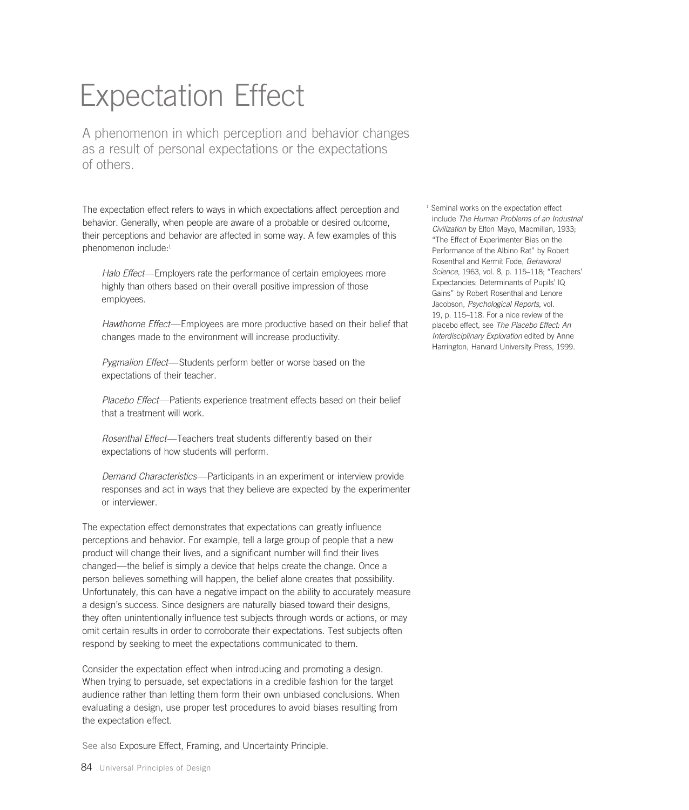## Expectation Effect

A phenomenon in which perception and behavior changes as a result of personal expectations or the expectations of others.

The expectation effect refers to ways in which expectations affect perception and behavior. Generally, when people are aware of a probable or desired outcome, their perceptions and behavior are affected in some way. A few examples of this phenomenon include:<sup>1</sup>

*Halo Effect*—Employers rate the performance of certain employees more highly than others based on their overall positive impression of those employees.

*Hawthorne Effect*—Employees are more productive based on their belief that changes made to the environment will increase productivity.

*Pygmalion Effect*—Students perform better or worse based on the expectations of their teacher.

*Placebo Effect*—Patients experience treatment effects based on their belief that a treatment will work.

*Rosenthal Effect*—Teachers treat students differently based on their expectations of how students will perform.

*Demand Characteristics*—Participants in an experiment or interview provide responses and act in ways that they believe are expected by the experimenter or interviewer.

The expectation effect demonstrates that expectations can greatly influence perceptions and behavior. For example, tell a large group of people that a new product will change their lives, and a significant number will find their lives changed—the belief is simply a device that helps create the change. Once a person believes something will happen, the belief alone creates that possibility. Unfortunately, this can have a negative impact on the ability to accurately measure a design's success. Since designers are naturally biased toward their designs, they often unintentionally influence test subjects through words or actions, or may omit certain results in order to corroborate their expectations. Test subjects often respond by seeking to meet the expectations communicated to them.

Consider the expectation effect when introducing and promoting a design. When trying to persuade, set expectations in a credible fashion for the target audience rather than letting them form their own unbiased conclusions. When evaluating a design, use proper test procedures to avoid biases resulting from the expectation effect.

See also Exposure Effect, Framing, and Uncertainty Principle.

<sup>1</sup> Seminal works on the expectation effect include *The Human Problems of an Industrial Civilization* by Elton Mayo, Macmillan, 1933; "The Effect of Experimenter Bias on the Performance of the Albino Rat" by Robert Rosenthal and Kermit Fode, *Behavioral Science*, 1963, vol. 8, p. 115–118; "Teachers' Expectancies: Determinants of Pupils' IQ Gains" by Robert Rosenthal and Lenore Jacobson, *Psychological Reports*, vol. 19, p. 115–118. For a nice review of the placebo effect, see *The Placebo Effect: An Interdisciplinary Exploration* edited by Anne Harrington, Harvard University Press, 1999.